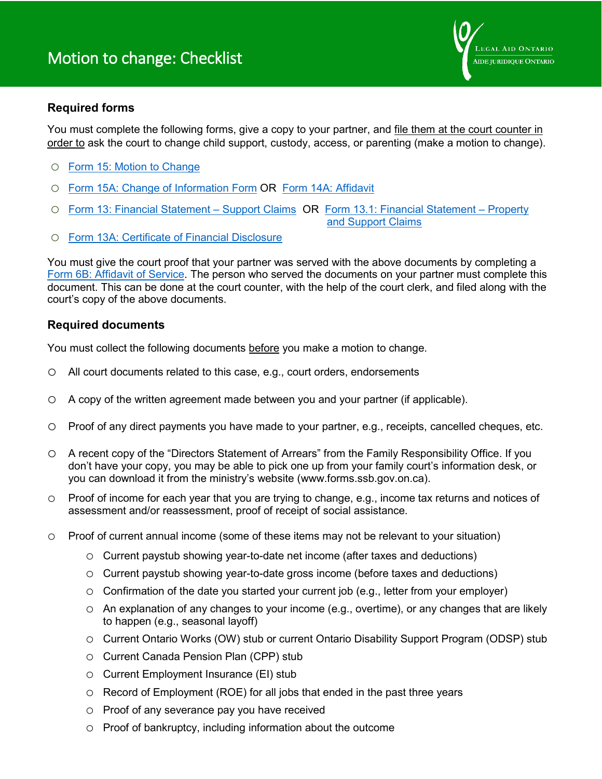

## **Required forms**

You must complete the following forms, give a copy to your partner, and file them at the court counter in order to ask the court to change child support, custody, access, or parenting (make a motion to change).

- o [Form 15: Motion to Change](http://ontariocourtforms.on.ca/static/media/uploads/courtforms/family/15/flr-15-e-1016.pdf)
- o [Form 15A: Change of Information Form](http://ontariocourtforms.on.ca/static/media/uploads/courtforms/scc/15a/rscc-15a-e-1115.pdf) OR [Form 14A: Affidavit](http://ontariocourtforms.on.ca/static/media/uploads/courtforms/civil/14a/rcp-14a-e.pdf)
- o [Form 13: Financial Statement –](http://ontariocourtforms.on.ca/static/media/uploads/courtforms/family/13a/FLR-13A-EN-aug15-fil.pdf) Support Claims OR [Form 13.1: Financial Statement –](http://ontariocourtforms.on.ca/static/media/uploads/courtforms/family/13_1/flr-13-1-e.pdf) Property and Support [Claims](http://ontariocourtforms.on.ca/static/media/uploads/courtforms/family/13_1/flr-13-1-e.pdf)
- o [Form 13A: Certificate of Financial Disclosure](http://ontariocourtforms.on.ca/static/media/uploads/courtforms/family/13a/FLR-13A-EN-aug15-fil.pdf)

You must give the court proof that your partner was served with the above documents by completing a Form 6B: [Affidavit of Service.](http://ontariocourtforms.on.ca/static/media/uploads/courtforms/family/06b/flr-6b-e-1016.pdf) The person who served the documents on your partner must complete this document. This can be done at the court counter, with the help of the court clerk, and filed along with the court's copy of the above documents.

## **Required documents**

You must collect the following documents before you make a motion to change.

- o All court documents related to this case, e.g., court orders, endorsements
- o A copy of the written agreement made between you and your partner (if applicable).
- o Proof of any direct payments you have made to your partner, e.g., receipts, cancelled cheques, etc.
- o A recent copy of the "Directors Statement of Arrears" from the Family Responsibility Office. If you don't have your copy, you may be able to pick one up from your family court's information desk, or you can download it from the ministry's website (www.forms.ssb.gov.on.ca).
- o Proof of income for each year that you are trying to change, e.g., income tax returns and notices of assessment and/or reassessment, proof of receipt of social assistance.
- o Proof of current annual income (some of these items may not be relevant to your situation)
	- o Current paystub showing year-to-date net income (after taxes and deductions)
	- o Current paystub showing year-to-date gross income (before taxes and deductions)
	- $\circ$  Confirmation of the date you started your current job (e.g., letter from your employer)
	- o An explanation of any changes to your income (e.g., overtime), or any changes that are likely to happen (e.g., seasonal layoff)
	- o Current Ontario Works (OW) stub or current Ontario Disability Support Program (ODSP) stub
	- o Current Canada Pension Plan (CPP) stub
	- o Current Employment Insurance (EI) stub
	- o Record of Employment (ROE) for all jobs that ended in the past three years
	- o Proof of any severance pay you have received
	- o Proof of bankruptcy, including information about the outcome